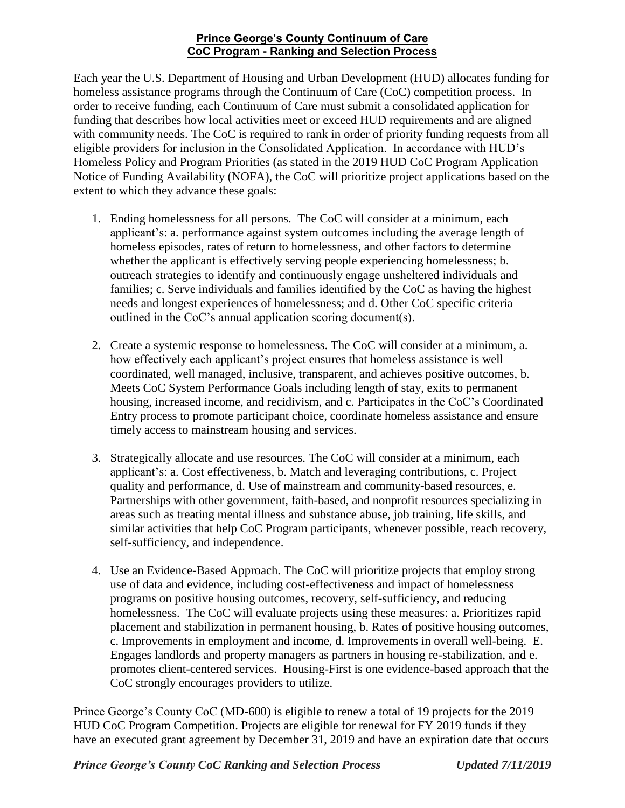## **Prince George's County Continuum of Care CoC Program - Ranking and Selection Process**

Each year the U.S. Department of Housing and Urban Development (HUD) allocates funding for homeless assistance programs through the Continuum of Care (CoC) competition process. In order to receive funding, each Continuum of Care must submit a consolidated application for funding that describes how local activities meet or exceed HUD requirements and are aligned with community needs. The CoC is required to rank in order of priority funding requests from all eligible providers for inclusion in the Consolidated Application. In accordance with HUD's Homeless Policy and Program Priorities (as stated in the 2019 HUD CoC Program Application Notice of Funding Availability (NOFA), the CoC will prioritize project applications based on the extent to which they advance these goals:

- 1. Ending homelessness for all persons. The CoC will consider at a minimum, each applicant's: a. performance against system outcomes including the average length of homeless episodes, rates of return to homelessness, and other factors to determine whether the applicant is effectively serving people experiencing homelessness; b. outreach strategies to identify and continuously engage unsheltered individuals and families; c. Serve individuals and families identified by the CoC as having the highest needs and longest experiences of homelessness; and d. Other CoC specific criteria outlined in the CoC's annual application scoring document(s).
- 2. Create a systemic response to homelessness. The CoC will consider at a minimum, a. how effectively each applicant's project ensures that homeless assistance is well coordinated, well managed, inclusive, transparent, and achieves positive outcomes, b. Meets CoC System Performance Goals including length of stay, exits to permanent housing, increased income, and recidivism, and c. Participates in the CoC's Coordinated Entry process to promote participant choice, coordinate homeless assistance and ensure timely access to mainstream housing and services.
- 3. Strategically allocate and use resources. The CoC will consider at a minimum, each applicant's: a. Cost effectiveness, b. Match and leveraging contributions, c. Project quality and performance, d. Use of mainstream and community-based resources, e. Partnerships with other government, faith-based, and nonprofit resources specializing in areas such as treating mental illness and substance abuse, job training, life skills, and similar activities that help CoC Program participants, whenever possible, reach recovery, self-sufficiency, and independence.
- 4. Use an Evidence-Based Approach. The CoC will prioritize projects that employ strong use of data and evidence, including cost-effectiveness and impact of homelessness programs on positive housing outcomes, recovery, self-sufficiency, and reducing homelessness. The CoC will evaluate projects using these measures: a. Prioritizes rapid placement and stabilization in permanent housing, b. Rates of positive housing outcomes, c. Improvements in employment and income, d. Improvements in overall well-being. E. Engages landlords and property managers as partners in housing re-stabilization, and e. promotes client-centered services. Housing-First is one evidence-based approach that the CoC strongly encourages providers to utilize.

Prince George's County CoC (MD-600) is eligible to renew a total of 19 projects for the 2019 HUD CoC Program Competition. Projects are eligible for renewal for FY 2019 funds if they have an executed grant agreement by December 31, 2019 and have an expiration date that occurs

*Prince George's County CoC Ranking and Selection Process Updated 7/11/2019*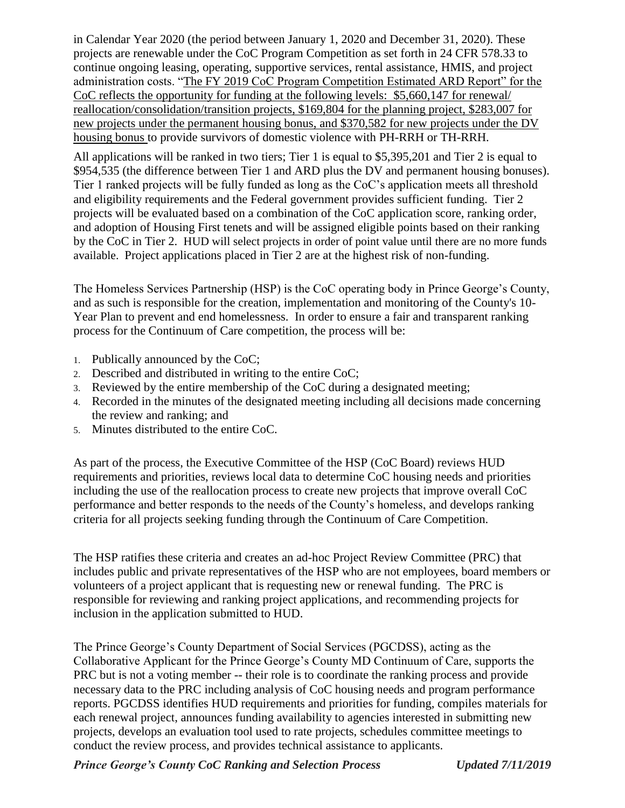in Calendar Year 2020 (the period between January 1, 2020 and December 31, 2020). These projects are renewable under the CoC Program Competition as set forth in 24 CFR 578.33 to continue ongoing leasing, operating, supportive services, rental assistance, HMIS, and project administration costs. "The FY 2019 CoC Program Competition Estimated ARD Report" for the CoC reflects the opportunity for funding at the following levels: \$5,660,147 for renewal/ reallocation/consolidation/transition projects, \$169,804 for the planning project, \$283,007 for new projects under the permanent housing bonus, and \$370,582 for new projects under the DV housing bonus to provide survivors of domestic violence with PH-RRH or TH-RRH.

All applications will be ranked in two tiers; Tier 1 is equal to \$5,395,201 and Tier 2 is equal to \$954,535 (the difference between Tier 1 and ARD plus the DV and permanent housing bonuses). Tier 1 ranked projects will be fully funded as long as the CoC's application meets all threshold and eligibility requirements and the Federal government provides sufficient funding. Tier 2 projects will be evaluated based on a combination of the CoC application score, ranking order, and adoption of Housing First tenets and will be assigned eligible points based on their ranking by the CoC in Tier 2. HUD will select projects in order of point value until there are no more funds available. Project applications placed in Tier 2 are at the highest risk of non-funding.

The Homeless Services Partnership (HSP) is the CoC operating body in Prince George's County, and as such is responsible for the creation, implementation and monitoring of the County's 10- Year Plan to prevent and end homelessness. In order to ensure a fair and transparent ranking process for the Continuum of Care competition, the process will be:

- 1. Publically announced by the CoC;
- 2. Described and distributed in writing to the entire CoC;
- 3. Reviewed by the entire membership of the CoC during a designated meeting;
- 4. Recorded in the minutes of the designated meeting including all decisions made concerning the review and ranking; and
- 5. Minutes distributed to the entire CoC.

As part of the process, the Executive Committee of the HSP (CoC Board) reviews HUD requirements and priorities, reviews local data to determine CoC housing needs and priorities including the use of the reallocation process to create new projects that improve overall CoC performance and better responds to the needs of the County's homeless, and develops ranking criteria for all projects seeking funding through the Continuum of Care Competition.

The HSP ratifies these criteria and creates an ad-hoc Project Review Committee (PRC) that includes public and private representatives of the HSP who are not employees, board members or volunteers of a project applicant that is requesting new or renewal funding. The PRC is responsible for reviewing and ranking project applications, and recommending projects for inclusion in the application submitted to HUD.

The Prince George's County Department of Social Services (PGCDSS), acting as the Collaborative Applicant for the Prince George's County MD Continuum of Care, supports the PRC but is not a voting member -- their role is to coordinate the ranking process and provide necessary data to the PRC including analysis of CoC housing needs and program performance reports. PGCDSS identifies HUD requirements and priorities for funding, compiles materials for each renewal project, announces funding availability to agencies interested in submitting new projects, develops an evaluation tool used to rate projects, schedules committee meetings to conduct the review process, and provides technical assistance to applicants.

*Prince George's County CoC Ranking and Selection Process Updated 7/11/2019*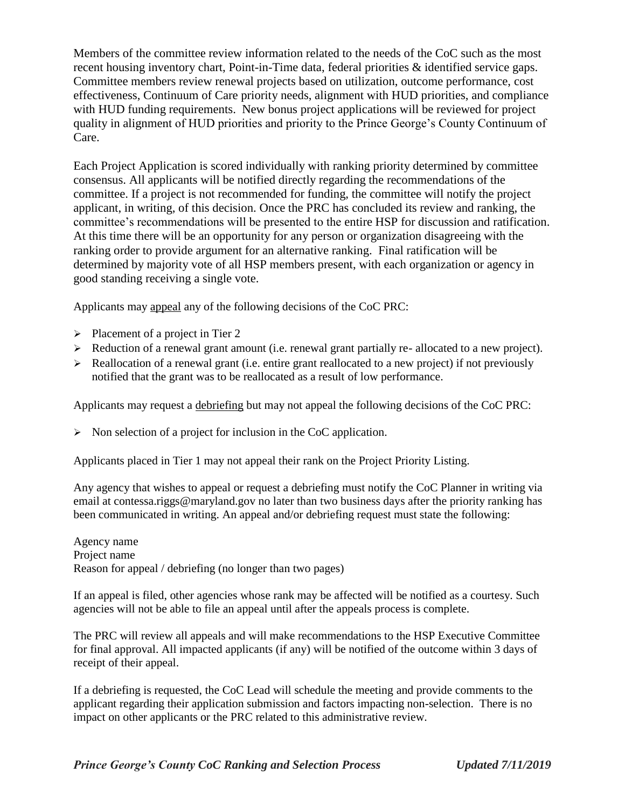Members of the committee review information related to the needs of the CoC such as the most recent housing inventory chart, Point-in-Time data, federal priorities & identified service gaps. Committee members review renewal projects based on utilization, outcome performance, cost effectiveness, Continuum of Care priority needs, alignment with HUD priorities, and compliance with HUD funding requirements. New bonus project applications will be reviewed for project quality in alignment of HUD priorities and priority to the Prince George's County Continuum of Care.

Each Project Application is scored individually with ranking priority determined by committee consensus. All applicants will be notified directly regarding the recommendations of the committee. If a project is not recommended for funding, the committee will notify the project applicant, in writing, of this decision. Once the PRC has concluded its review and ranking, the committee's recommendations will be presented to the entire HSP for discussion and ratification. At this time there will be an opportunity for any person or organization disagreeing with the ranking order to provide argument for an alternative ranking. Final ratification will be determined by majority vote of all HSP members present, with each organization or agency in good standing receiving a single vote.

Applicants may appeal any of the following decisions of the CoC PRC:

- $\triangleright$  Placement of a project in Tier 2
- Reduction of a renewal grant amount (i.e. renewal grant partially re- allocated to a new project).
- $\triangleright$  Reallocation of a renewal grant (i.e. entire grant reallocated to a new project) if not previously notified that the grant was to be reallocated as a result of low performance.

Applicants may request a debriefing but may not appeal the following decisions of the CoC PRC:

 $\triangleright$  Non selection of a project for inclusion in the CoC application.

Applicants placed in Tier 1 may not appeal their rank on the Project Priority Listing.

Any agency that wishes to appeal or request a debriefing must notify the CoC Planner in writing via email at contessa.riggs@maryland.gov no later than two business days after the priority ranking has been communicated in writing. An appeal and/or debriefing request must state the following:

Agency name Project name Reason for appeal / debriefing (no longer than two pages)

If an appeal is filed, other agencies whose rank may be affected will be notified as a courtesy. Such agencies will not be able to file an appeal until after the appeals process is complete.

The PRC will review all appeals and will make recommendations to the HSP Executive Committee for final approval. All impacted applicants (if any) will be notified of the outcome within 3 days of receipt of their appeal.

If a debriefing is requested, the CoC Lead will schedule the meeting and provide comments to the applicant regarding their application submission and factors impacting non-selection. There is no impact on other applicants or the PRC related to this administrative review.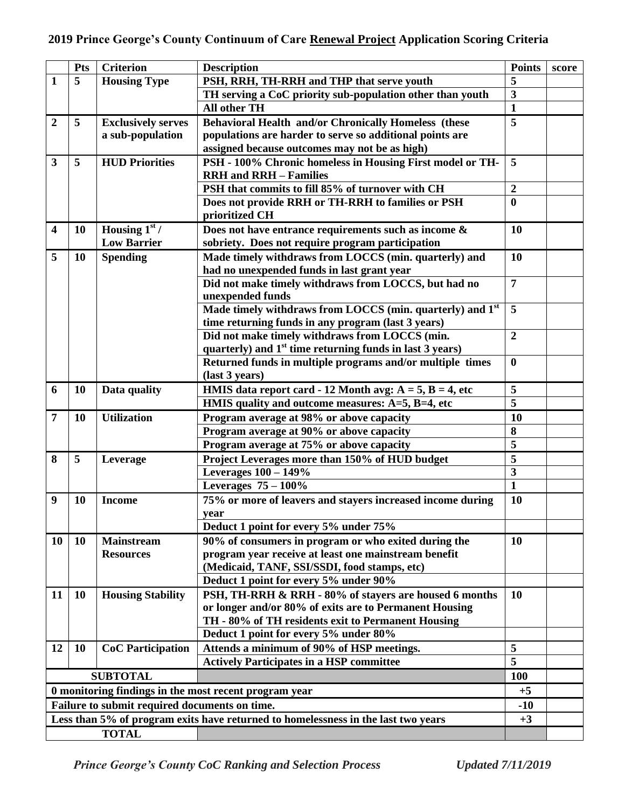|                                                                                   | <b>Pts</b> | <b>Criterion</b>          | <b>Description</b>                                                                                           | <b>Points</b>           | score |
|-----------------------------------------------------------------------------------|------------|---------------------------|--------------------------------------------------------------------------------------------------------------|-------------------------|-------|
| 1                                                                                 | 5          | <b>Housing Type</b>       | PSH, RRH, TH-RRH and THP that serve youth                                                                    | 5                       |       |
|                                                                                   |            |                           | TH serving a CoC priority sub-population other than youth                                                    | $\overline{\mathbf{3}}$ |       |
|                                                                                   |            |                           | All other TH                                                                                                 | $\mathbf{1}$            |       |
| $\overline{2}$                                                                    | 5          | <b>Exclusively serves</b> | Behavioral Health and/or Chronically Homeless (these                                                         | 5                       |       |
|                                                                                   |            | a sub-population          | populations are harder to serve so additional points are                                                     |                         |       |
|                                                                                   |            |                           | assigned because outcomes may not be as high)                                                                |                         |       |
| $\mathbf{3}$                                                                      | 5          | <b>HUD Priorities</b>     | PSH - 100% Chronic homeless in Housing First model or TH-                                                    | 5                       |       |
|                                                                                   |            |                           | <b>RRH</b> and <b>RRH</b> - Families                                                                         |                         |       |
|                                                                                   |            |                           | PSH that commits to fill 85% of turnover with CH                                                             | $\boldsymbol{2}$        |       |
|                                                                                   |            |                           | Does not provide RRH or TH-RRH to families or PSH                                                            | $\bf{0}$                |       |
|                                                                                   |            |                           | prioritized CH                                                                                               |                         |       |
| $\overline{\mathbf{4}}$                                                           | <b>10</b>  | Housing $1st$ /           | Does not have entrance requirements such as income &                                                         | 10                      |       |
|                                                                                   |            | <b>Low Barrier</b>        | sobriety. Does not require program participation                                                             |                         |       |
| 5                                                                                 | 10         | <b>Spending</b>           | Made timely withdraws from LOCCS (min. quarterly) and                                                        | 10                      |       |
|                                                                                   |            |                           | had no unexpended funds in last grant year                                                                   |                         |       |
|                                                                                   |            |                           | Did not make timely withdraws from LOCCS, but had no                                                         | $\overline{7}$          |       |
|                                                                                   |            |                           | unexpended funds                                                                                             |                         |       |
|                                                                                   |            |                           | Made timely withdraws from LOCCS (min. quarterly) and 1 <sup>st</sup>                                        | 5                       |       |
|                                                                                   |            |                           | time returning funds in any program (last 3 years)                                                           | $\overline{2}$          |       |
|                                                                                   |            |                           | Did not make timely withdraws from LOCCS (min.<br>quarterly) and $1st$ time returning funds in last 3 years) |                         |       |
|                                                                                   |            |                           | Returned funds in multiple programs and/or multiple times                                                    | $\bf{0}$                |       |
|                                                                                   |            |                           | (last 3 years)                                                                                               |                         |       |
| 6                                                                                 | <b>10</b>  | Data quality              | HMIS data report card - 12 Month avg: $A = 5$ , $B = 4$ , etc                                                | 5                       |       |
|                                                                                   |            |                           | HMIS quality and outcome measures: A=5, B=4, etc                                                             | $\overline{\mathbf{5}}$ |       |
| 7                                                                                 | <b>10</b>  | <b>Utilization</b>        | Program average at 98% or above capacity                                                                     | 10                      |       |
|                                                                                   |            |                           | Program average at 90% or above capacity                                                                     | 8                       |       |
|                                                                                   |            |                           | Program average at 75% or above capacity                                                                     | 5                       |       |
| 8                                                                                 | 5          | Leverage                  | Project Leverages more than 150% of HUD budget                                                               | 5                       |       |
|                                                                                   |            |                           | Leverages 100 - 149%                                                                                         | $\overline{\mathbf{3}}$ |       |
|                                                                                   |            |                           | Leverages $75-100\%$                                                                                         | $\mathbf{1}$            |       |
| 9                                                                                 | <b>10</b>  | <b>Income</b>             | 75% or more of leavers and stayers increased income during                                                   | 10                      |       |
|                                                                                   |            |                           | year                                                                                                         |                         |       |
|                                                                                   |            |                           | Deduct 1 point for every 5% under 75%                                                                        |                         |       |
| 10                                                                                | <b>10</b>  | <b>Mainstream</b>         | 90% of consumers in program or who exited during the                                                         | 10                      |       |
|                                                                                   |            | <b>Resources</b>          | program year receive at least one mainstream benefit                                                         |                         |       |
|                                                                                   |            |                           | (Medicaid, TANF, SSI/SSDI, food stamps, etc)                                                                 |                         |       |
|                                                                                   |            |                           | Deduct 1 point for every 5% under 90%                                                                        |                         |       |
| 11                                                                                | <b>10</b>  | <b>Housing Stability</b>  | PSH, TH-RRH & RRH - 80% of stayers are housed 6 months                                                       | 10                      |       |
|                                                                                   |            |                           | or longer and/or 80% of exits are to Permanent Housing                                                       |                         |       |
|                                                                                   |            |                           | TH - 80% of TH residents exit to Permanent Housing                                                           |                         |       |
|                                                                                   |            |                           | Deduct 1 point for every 5% under 80%                                                                        |                         |       |
| 12                                                                                | <b>10</b>  | <b>CoC</b> Participation  | Attends a minimum of 90% of HSP meetings.                                                                    | 5                       |       |
|                                                                                   |            |                           | <b>Actively Participates in a HSP committee</b>                                                              | 5                       |       |
| <b>SUBTOTAL</b>                                                                   |            |                           |                                                                                                              | <b>100</b>              |       |
| 0 monitoring findings in the most recent program year                             |            |                           |                                                                                                              |                         |       |
| Failure to submit required documents on time.                                     |            |                           |                                                                                                              |                         |       |
| Less than 5% of program exits have returned to homelessness in the last two years |            |                           |                                                                                                              | $+3$                    |       |
| <b>TOTAL</b>                                                                      |            |                           |                                                                                                              |                         |       |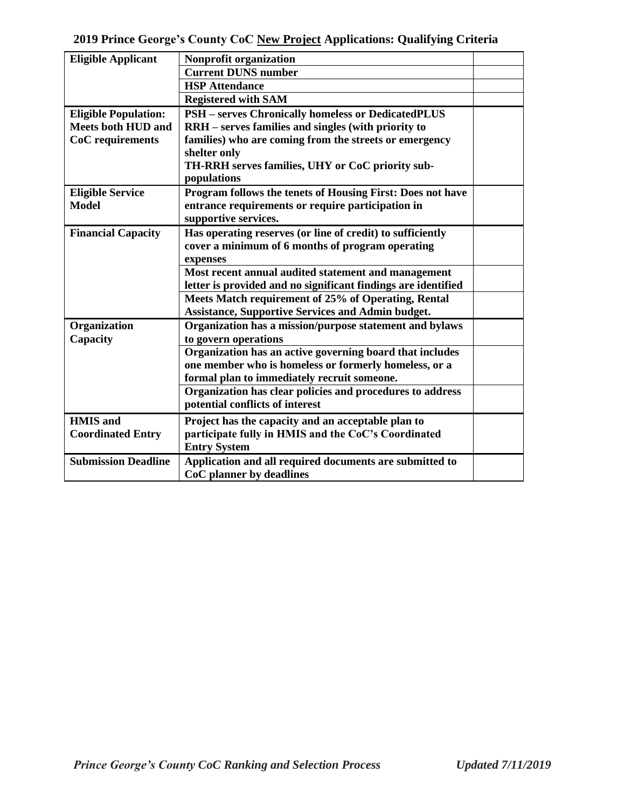| <b>Eligible Applicant</b>   | Nonprofit organization                                        |  |
|-----------------------------|---------------------------------------------------------------|--|
|                             | <b>Current DUNS number</b>                                    |  |
|                             | <b>HSP</b> Attendance                                         |  |
|                             | <b>Registered with SAM</b>                                    |  |
| <b>Eligible Population:</b> | <b>PSH</b> – serves Chronically homeless or DedicatedPLUS     |  |
| <b>Meets both HUD and</b>   | RRH - serves families and singles (with priority to           |  |
| CoC requirements            | families) who are coming from the streets or emergency        |  |
|                             | shelter only                                                  |  |
|                             | TH-RRH serves families, UHY or CoC priority sub-              |  |
|                             | populations                                                   |  |
| <b>Eligible Service</b>     | Program follows the tenets of Housing First: Does not have    |  |
| <b>Model</b>                | entrance requirements or require participation in             |  |
|                             | supportive services.                                          |  |
| <b>Financial Capacity</b>   | Has operating reserves (or line of credit) to sufficiently    |  |
|                             | cover a minimum of 6 months of program operating              |  |
|                             | expenses                                                      |  |
|                             | Most recent annual audited statement and management           |  |
|                             | letter is provided and no significant findings are identified |  |
|                             | Meets Match requirement of 25% of Operating, Rental           |  |
|                             | <b>Assistance, Supportive Services and Admin budget.</b>      |  |
| Organization                | Organization has a mission/purpose statement and bylaws       |  |
| Capacity                    | to govern operations                                          |  |
|                             | Organization has an active governing board that includes      |  |
|                             | one member who is homeless or formerly homeless, or a         |  |
|                             | formal plan to immediately recruit someone.                   |  |
|                             | Organization has clear policies and procedures to address     |  |
|                             | potential conflicts of interest                               |  |
| <b>HMIS</b> and             | Project has the capacity and an acceptable plan to            |  |
| <b>Coordinated Entry</b>    | participate fully in HMIS and the CoC's Coordinated           |  |
|                             | <b>Entry System</b>                                           |  |
| <b>Submission Deadline</b>  | Application and all required documents are submitted to       |  |
|                             | CoC planner by deadlines                                      |  |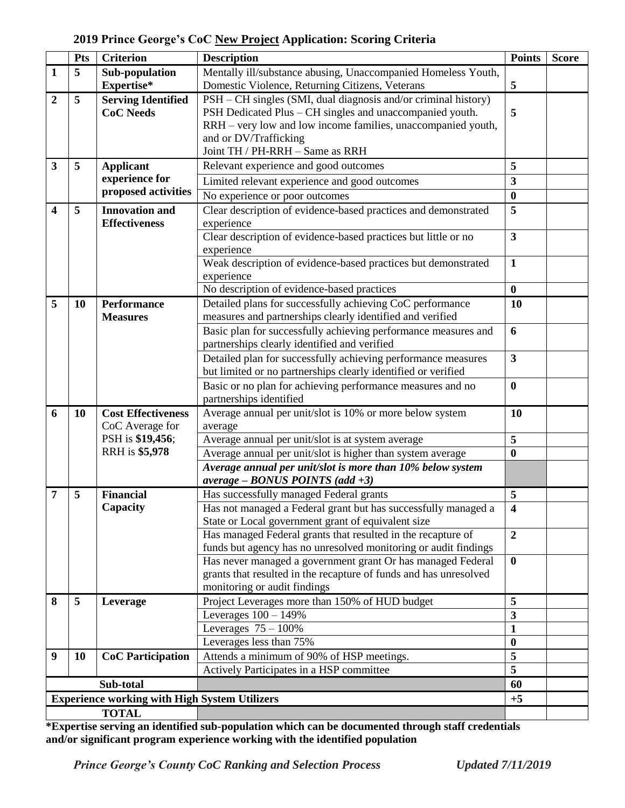## **2019 Prince George's CoC New Project Application: Scoring Criteria**

|                                                      | Pts       | <b>Criterion</b>                      | <b>Description</b>                                                                                | <b>Points</b>                | <b>Score</b> |
|------------------------------------------------------|-----------|---------------------------------------|---------------------------------------------------------------------------------------------------|------------------------------|--------------|
| $\mathbf{1}$                                         | 5         | Sub-population                        | Mentally ill/substance abusing, Unaccompanied Homeless Youth,                                     |                              |              |
|                                                      |           | Expertise*                            | Domestic Violence, Returning Citizens, Veterans                                                   | 5                            |              |
| $\overline{2}$                                       | 5         | <b>Serving Identified</b>             | PSH – CH singles (SMI, dual diagnosis and/or criminal history)                                    |                              |              |
|                                                      |           | <b>CoC Needs</b>                      | PSH Dedicated Plus - CH singles and unaccompanied youth.                                          | 5                            |              |
|                                                      |           |                                       | RRH – very low and low income families, unaccompanied youth,                                      |                              |              |
|                                                      |           |                                       | and or DV/Trafficking                                                                             |                              |              |
|                                                      |           |                                       | Joint TH / PH-RRH - Same as RRH                                                                   |                              |              |
| $\overline{\mathbf{3}}$                              | 5         | <b>Applicant</b>                      | Relevant experience and good outcomes                                                             | 5                            |              |
|                                                      |           | experience for<br>proposed activities | Limited relevant experience and good outcomes                                                     | $\overline{\mathbf{3}}$      |              |
|                                                      |           |                                       | No experience or poor outcomes                                                                    | $\boldsymbol{0}$             |              |
| $\overline{\mathbf{4}}$                              | 5         | <b>Innovation and</b>                 | Clear description of evidence-based practices and demonstrated                                    | 5                            |              |
|                                                      |           | <b>Effectiveness</b>                  | experience                                                                                        |                              |              |
|                                                      |           |                                       | Clear description of evidence-based practices but little or no                                    | $\overline{\mathbf{3}}$      |              |
|                                                      |           |                                       | experience                                                                                        |                              |              |
|                                                      |           |                                       | Weak description of evidence-based practices but demonstrated                                     | $\mathbf{1}$                 |              |
|                                                      |           |                                       | experience                                                                                        |                              |              |
|                                                      |           |                                       | No description of evidence-based practices                                                        | $\boldsymbol{0}$             |              |
| 5                                                    | 10        | <b>Performance</b>                    | Detailed plans for successfully achieving CoC performance                                         | 10                           |              |
|                                                      |           | <b>Measures</b>                       | measures and partnerships clearly identified and verified                                         |                              |              |
|                                                      |           |                                       | Basic plan for successfully achieving performance measures and                                    | 6                            |              |
|                                                      |           |                                       | partnerships clearly identified and verified                                                      |                              |              |
|                                                      |           |                                       | Detailed plan for successfully achieving performance measures                                     | $\mathbf{3}$                 |              |
|                                                      |           |                                       | but limited or no partnerships clearly identified or verified                                     |                              |              |
|                                                      |           |                                       | Basic or no plan for achieving performance measures and no                                        | $\boldsymbol{0}$             |              |
|                                                      |           |                                       | partnerships identified                                                                           |                              |              |
| 6                                                    | 10        | <b>Cost Effectiveness</b>             | Average annual per unit/slot is 10% or more below system                                          | 10                           |              |
|                                                      |           | CoC Average for                       | average                                                                                           |                              |              |
|                                                      |           | PSH is \$19,456;                      | Average annual per unit/slot is at system average                                                 | 5                            |              |
|                                                      |           | RRH is \$5,978                        | Average annual per unit/slot is higher than system average                                        | $\bf{0}$                     |              |
|                                                      |           |                                       | Average annual per unit/slot is more than 10% below system                                        |                              |              |
|                                                      |           |                                       | $average - BONUS$ POINTS (add +3)                                                                 |                              |              |
| 7                                                    | 5         | <b>Financial</b>                      | Has successfully managed Federal grants                                                           | 5                            |              |
|                                                      |           | Capacity                              | Has not managed a Federal grant but has successfully managed a                                    | 4                            |              |
|                                                      |           |                                       | State or Local government grant of equivalent size                                                |                              |              |
|                                                      |           |                                       | Has managed Federal grants that resulted in the recapture of                                      | $\overline{2}$               |              |
|                                                      |           |                                       | funds but agency has no unresolved monitoring or audit findings                                   |                              |              |
|                                                      |           |                                       | Has never managed a government grant Or has managed Federal                                       | $\mathbf 0$                  |              |
|                                                      |           |                                       | grants that resulted in the recapture of funds and has unresolved<br>monitoring or audit findings |                              |              |
| 8                                                    | 5         |                                       |                                                                                                   | 5                            |              |
|                                                      |           | Leverage                              | Project Leverages more than 150% of HUD budget<br>Leverages $100 - 149%$                          | $\overline{\mathbf{3}}$      |              |
|                                                      |           |                                       |                                                                                                   |                              |              |
|                                                      |           |                                       | Leverages $75 - 100\%$<br>Leverages less than 75%                                                 | $\mathbf{1}$<br>$\bf{0}$     |              |
|                                                      |           |                                       |                                                                                                   |                              |              |
| 9                                                    | <b>10</b> | <b>CoC</b> Participation              | Attends a minimum of 90% of HSP meetings.                                                         | 5<br>$\overline{\mathbf{5}}$ |              |
|                                                      |           |                                       | Actively Participates in a HSP committee                                                          |                              |              |
| Sub-total                                            |           |                                       | 60<br>$+5$                                                                                        |                              |              |
| <b>Experience working with High System Utilizers</b> |           |                                       |                                                                                                   |                              |              |
| <b>TOTAL</b>                                         |           |                                       |                                                                                                   |                              |              |

**\*Expertise serving an identified sub-population which can be documented through staff credentials and/or significant program experience working with the identified population**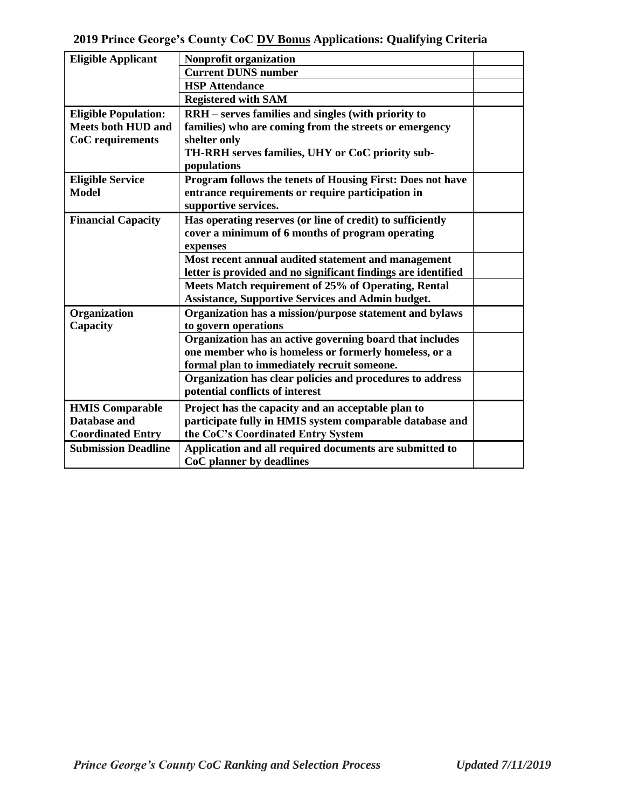| <b>Eligible Applicant</b>   | Nonprofit organization                                            |  |
|-----------------------------|-------------------------------------------------------------------|--|
|                             | <b>Current DUNS number</b>                                        |  |
|                             | <b>HSP</b> Attendance                                             |  |
|                             | <b>Registered with SAM</b>                                        |  |
| <b>Eligible Population:</b> | RRH - serves families and singles (with priority to               |  |
| <b>Meets both HUD and</b>   | families) who are coming from the streets or emergency            |  |
| CoC requirements            | shelter only                                                      |  |
|                             | TH-RRH serves families, UHY or CoC priority sub-                  |  |
|                             | populations                                                       |  |
| <b>Eligible Service</b>     | <b>Program follows the tenets of Housing First: Does not have</b> |  |
| <b>Model</b>                | entrance requirements or require participation in                 |  |
|                             | supportive services.                                              |  |
| <b>Financial Capacity</b>   | Has operating reserves (or line of credit) to sufficiently        |  |
|                             | cover a minimum of 6 months of program operating                  |  |
|                             | expenses                                                          |  |
|                             | Most recent annual audited statement and management               |  |
|                             | letter is provided and no significant findings are identified     |  |
|                             | Meets Match requirement of 25% of Operating, Rental               |  |
|                             | <b>Assistance, Supportive Services and Admin budget.</b>          |  |
| Organization                | Organization has a mission/purpose statement and bylaws           |  |
| Capacity                    | to govern operations                                              |  |
|                             | Organization has an active governing board that includes          |  |
|                             | one member who is homeless or formerly homeless, or a             |  |
|                             | formal plan to immediately recruit someone.                       |  |
|                             | Organization has clear policies and procedures to address         |  |
|                             | potential conflicts of interest                                   |  |
| <b>HMIS Comparable</b>      | Project has the capacity and an acceptable plan to                |  |
| <b>Database and</b>         | participate fully in HMIS system comparable database and          |  |
| <b>Coordinated Entry</b>    | the CoC's Coordinated Entry System                                |  |
| <b>Submission Deadline</b>  | Application and all required documents are submitted to           |  |
|                             | CoC planner by deadlines                                          |  |